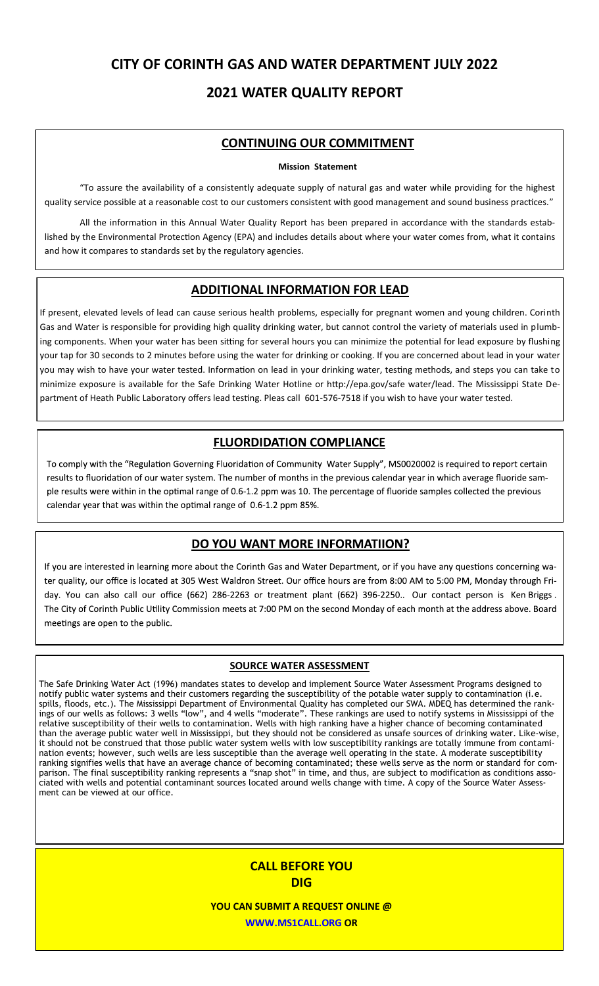# **CITY OF CORINTH GAS AND WATER DEPARTMENT JULY 2022**

## **2021 WATER QUALITY REPORT**

## **CONTINUING OUR COMMITMENT**

### **Mission Statement**

"To assure the availability of a consistently adequate supply of natural gas and water while providing for the highest quality service possible at a reasonable cost to our customers consistent with good management and sound business practices."

All the information in this Annual Water Quality Report has been prepared in accordance with the standards established by the Environmental Protection Agency (EPA) and includes details about where your water comes from, what it contains and how it compares to standards set by the regulatory agencies.

### **ADDITIONAL INFORMATION FOR LEAD**

If present, elevated levels of lead can cause serious health problems, especially for pregnant women and young children. Corinth Gas and Water is responsible for providing high quality drinking water, but cannot control the variety of materials used in plumbing components. When your water has been sitting for several hours you can minimize the potential for lead exposure by flushing your tap for 30 seconds to 2 minutes before using the water for drinking or cooking. If you are concerned about lead in your water you may wish to have your water tested. Information on lead in your drinking water, testing methods, and steps you can take to minimize exposure is available for the Safe Drinking Water Hotline or http://epa.gov/safe water/lead. The Mississippi State Department of Heath Public Laboratory offers lead testing. Pleas call 601-576-7518 if you wish to have your water tested.

## **FLUORDIDATION COMPLIANCE**

To comply with the "Regulation Governing Fluoridation of Community Water Supply", MS0020002 is required to report certain results to fluoridation of our water system. The number of months in the previous calendar year in which average fluoride sample results were within in the optimal range of 0.6-1.2 ppm was 10. The percentage of fluoride samples collected the previous calendar year that was within the optimal range of 0.6-1.2 ppm 85%.

## DO YOU WANT MORE INFORMATIION?

If you are interested in learning more about the Corinth Gas and Water Department, or if you have any questions concerning water quality, our office is located at 305 West Waldron Street. Our office hours are from 8:00 AM to 5:00 PM, Monday through Friday. You can also call our office (662) 286-2263 or treatment plant (662) 396-2250.. Our contact person is Ken Briggs. The City of Corinth Public Utility Commission meets at 7:00 PM on the second Monday of each month at the address above. Board meetings are open to the public.

### **SOURCE WATER ASSESSMENT**

The Safe Drinking Water Act (1996) mandates states to develop and implement Source Water Assessment Programs designed to notify public water systems and their customers regarding the susceptibility of the potable water supply to contamination (i.e. spills, floods, etc.). The Mississippi Department of Environmental Quality has completed our SWA. MDEQ has determined the rankings of our wells as follows: 3 wells "low", and 4 wells "moderate". These rankings are used to notify systems in Mississippi of the relative susceptibility of their wells to contamination. Wells with high ranking have a higher chance of becoming contaminated than the average public water well in Mississippi, but they should not be considered as unsafe sources of drinking water. Like-wise, it should not be construed that those public water system wells with low susceptibility rankings are totally immune from contamination events; however, such wells are less susceptible than the average well operating in the state. A moderate susceptibility ranking signifies wells that have an average chance of becoming contaminated; these wells serve as the norm or standard for comparison. The final susceptibility ranking represents a "snap shot" in time, and thus, are subject to modification as conditions associated with wells and potential contaminant sources located around wells change with time. A copy of the Source Water Assessment can be viewed at our office.

## **CALL BEFORE YOU DIG**

**YOU CAN SUBMIT A REQUEST ONLINE @ WWW.MS1CALL.ORG OR**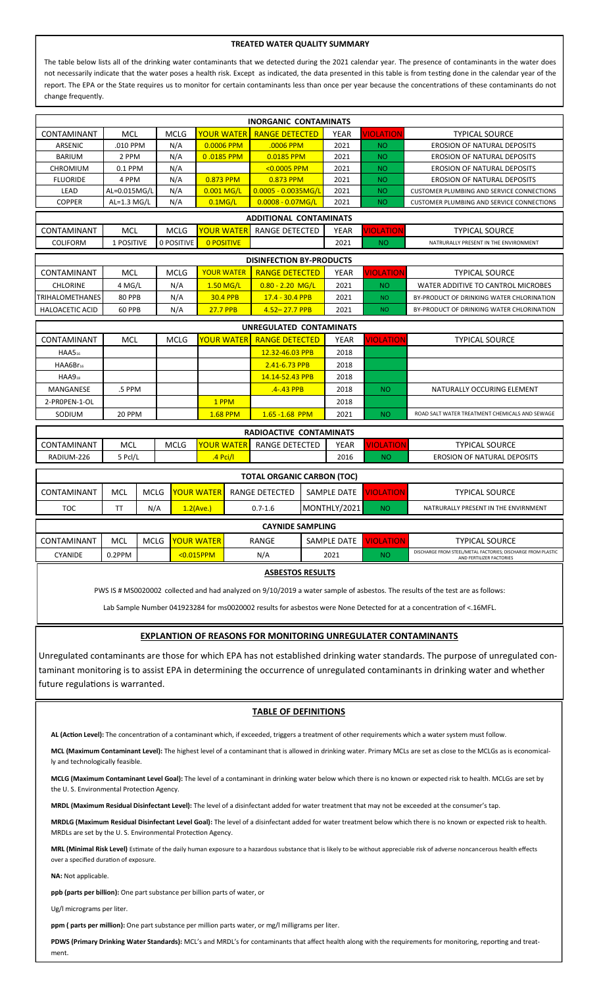#### **TREATED WATER QUALITY SUMMARY**

The table below lists all of the drinking water contaminants that we detected during the 2021 calendar year. The presence of contaminants in the water does not necessarily indicate that the water poses a health risk. Except as indicated, the data presented in this table is from testing done in the calendar year of the report. The EPA or the State requires us to monitor for certain contaminants less than once per year because the concentrations of these contaminants do not change frequently.

| <b>INORGANIC CONTAMINATS</b>                                                                                                                |               |             |                   |                       |                                    |             |                  |                                                  |  |  |  |  |
|---------------------------------------------------------------------------------------------------------------------------------------------|---------------|-------------|-------------------|-----------------------|------------------------------------|-------------|------------------|--------------------------------------------------|--|--|--|--|
| CONTAMINANT                                                                                                                                 | <b>MCL</b>    | <b>MCLG</b> | <b>YOUR WATER</b> | <b>RANGE DETECTED</b> |                                    | <b>YEAR</b> | VIOLATION        | <b>TYPICAL SOURCE</b>                            |  |  |  |  |
| ARSENIC                                                                                                                                     | .010 PPM      | N/A         | 0.0006 PPM        | .0006 PPM             |                                    | 2021        | <b>NO</b>        | <b>EROSION OF NATURAL DEPOSITS</b>               |  |  |  |  |
| <b>BARIUM</b>                                                                                                                               | 2 PPM         | N/A         | 0.0185 PPM        | 0.0185 PPM            |                                    | 2021        | <b>NO</b>        | <b>EROSION OF NATURAL DEPOSITS</b>               |  |  |  |  |
| <b>CHROMIUM</b>                                                                                                                             | 0.1 PPM       | N/A         |                   | $< 0.0005$ PPM        |                                    | 2021        | <b>NO</b>        | <b>EROSION OF NATURAL DEPOSITS</b>               |  |  |  |  |
| <b>FLUORIDE</b>                                                                                                                             | 4 PPM         | N/A         | 0.873 PPM         | 0.873 PPM             |                                    | 2021        | <b>NO</b>        | <b>EROSION OF NATURAL DEPOSITS</b>               |  |  |  |  |
| LEAD                                                                                                                                        | AL=0.015MG/L  | N/A         | $0.001$ MG/L      | $0.0005 - 0.0035MG/L$ |                                    | 2021        | <b>NO</b>        | <b>CUSTOMER PLUMBING AND SERVICE CONNECTIONS</b> |  |  |  |  |
| <b>COPPER</b>                                                                                                                               | AL=1.3 $MG/L$ | N/A         | $0.1$ MG/L        | $0.0008 - 0.07MG/L$   |                                    | 2021        | <b>NO</b>        | <b>CUSTOMER PLUMBING AND SERVICE CONNECTIONS</b> |  |  |  |  |
| <b>ADDITIONAL CONTAMINATS</b>                                                                                                               |               |             |                   |                       |                                    |             |                  |                                                  |  |  |  |  |
| CONTAMINANT                                                                                                                                 | <b>MCL</b>    | <b>MCLG</b> | <b>YOUR WATER</b> | <b>RANGE DETECTED</b> |                                    | <b>YEAR</b> | VIOLATION        | <b>TYPICAL SOURCE</b>                            |  |  |  |  |
| <b>COLIFORM</b>                                                                                                                             | 1 POSITIVE    | 0 POSITIVE  | <b>O POSITIVE</b> |                       |                                    | 2021        | <b>NO</b>        | NATRURALLY PRESENT IN THE ENVIRONMENT            |  |  |  |  |
| <b>DISINFECTION BY-PRODUCTS</b>                                                                                                             |               |             |                   |                       |                                    |             |                  |                                                  |  |  |  |  |
| <b>CONTAMINANT</b>                                                                                                                          | MCL           | <b>MCLG</b> | <b>YOUR WATER</b> | <b>RANGE DETECTED</b> |                                    | <b>YEAR</b> | <b>VIOLATION</b> | <b>TYPICAL SOURCE</b>                            |  |  |  |  |
| <b>CHLORINE</b>                                                                                                                             | 4 MG/L        | N/A         | $1.50$ MG/L       | $0.80 - 2.20$ MG/L    |                                    | 2021        | <b>NO</b>        | WATER ADDITIVE TO CANTROL MICROBES               |  |  |  |  |
| <b>TRIHALOMETHANES</b>                                                                                                                      | 80 PPB        | N/A         | <b>30.4 PPB</b>   | 17.4 - 30.4 PPB       |                                    | 2021        | <b>NO</b>        | BY-PRODUCT OF DRINKING WATER CHLORINATION        |  |  |  |  |
| <b>HALOACETIC ACID</b>                                                                                                                      | <b>60 PPB</b> | N/A         | <b>27.7 PPB</b>   | $4.52 - 27.7$ PPB     |                                    | 2021        | <b>NO</b>        | BY-PRODUCT OF DRINKING WATER CHLORINATION        |  |  |  |  |
| UNREGULATED CONTAMINATS                                                                                                                     |               |             |                   |                       |                                    |             |                  |                                                  |  |  |  |  |
| <b>CONTAMINANT</b><br>MCL<br><b>MCLG</b><br><b>YOUR WATER</b><br><b>RANGE DETECTED</b><br>VIOLATION<br><b>TYPICAL SOURCE</b><br><b>YEAR</b> |               |             |                   |                       |                                    |             |                  |                                                  |  |  |  |  |
| HAAS <sub>16</sub>                                                                                                                          |               |             |                   | 12.32-46.03 PPB       |                                    | 2018        |                  |                                                  |  |  |  |  |
| HAA6Br <sub>16</sub>                                                                                                                        |               |             |                   | 2.41-6.73 PPB         |                                    | 2018        |                  |                                                  |  |  |  |  |
| $HAAB_{18}$                                                                                                                                 |               |             |                   | 14.14-52.43 PPB       |                                    | 2018        |                  |                                                  |  |  |  |  |
| MANGANESE                                                                                                                                   | .5 PPM        |             |                   | .4-.43 PPB            |                                    | 2018        | <b>NO</b>        | NATURALLY OCCURING ELEMENT                       |  |  |  |  |
| 2-PROPEN-1-OL                                                                                                                               |               |             | 1 PPM             |                       |                                    | 2018        |                  |                                                  |  |  |  |  |
| SODIUM                                                                                                                                      | 20 PPM        |             | <b>1.68 PPM</b>   | 1.65 - 1.68 PPM       |                                    | 2021        | <b>NO</b>        | ROAD SALT WATER TREATMENT CHEMICALS AND SEWAGE   |  |  |  |  |
| RADIOACTIVE CONTAMINATS                                                                                                                     |               |             |                   |                       |                                    |             |                  |                                                  |  |  |  |  |
|                                                                                                                                             | <b>MCL</b>    |             | <b>YOUR WATER</b> |                       |                                    |             |                  |                                                  |  |  |  |  |
| CONTAMINANT                                                                                                                                 | 5 Pcl/L       | <b>MCLG</b> | $.4$ Pci/l        | <b>RANGE DETECTED</b> |                                    | <b>YEAR</b> | <b>VIOLATION</b> | <b>TYPICAL SOURCE</b>                            |  |  |  |  |
| RADIUM-226                                                                                                                                  |               |             | 2016              | <b>NO</b>             | <b>EROSION OF NATURAL DEPOSITS</b> |             |                  |                                                  |  |  |  |  |
| <b>TOTAL ORGANIC CARBON (TOC)</b>                                                                                                           |               |             |                   |                       |                                    |             |                  |                                                  |  |  |  |  |
| CONTAMINANT                                                                                                                                 | <b>MCL</b>    | <b>MCLG</b> | <b>YOUR WATER</b> | <b>RANGE DETECTED</b> | SAMPLE DATE                        |             | <b>VIOLATION</b> | <b>TYPICAL SOURCE</b>                            |  |  |  |  |
| <b>TOC</b>                                                                                                                                  | <b>TT</b>     | N/A         | 1.2(Ave.)         | $0.7 - 1.6$           | MONTHLY/2021                       |             | <b>NO</b>        | NATRURALLY PRESENT IN THE ENVIRNMENT             |  |  |  |  |
| <b>CAYNIDE SAMPLING</b>                                                                                                                     |               |             |                   |                       |                                    |             |                  |                                                  |  |  |  |  |

| <b>CATIVIDE SAIVIFLING</b> |        |             |                   |       |             |    |                                                                                          |  |  |  |  |
|----------------------------|--------|-------------|-------------------|-------|-------------|----|------------------------------------------------------------------------------------------|--|--|--|--|
| CONTAMINANT                | MCL    | <b>MCLG</b> | <b>YOUR WATER</b> | RANGE | SAMPLE DATE |    | <b>TYPICAL SOURCE</b>                                                                    |  |  |  |  |
| <b>TYANIDE</b>             | 0.2PPM |             | $< 0.015$ PPM     | N/A   | 2021        | NΟ | DISCHARGE FROM STEEL/METAL FACTORIES; DISCHARGE FROM PLASTIC<br>AND FERTILIZER FACTORIES |  |  |  |  |
| .                          |        |             |                   |       |             |    |                                                                                          |  |  |  |  |

**ASBESTOS RESULTS**

PWS IS # MS0020002 collected and had analyzed on 9/10/2019 a water sample of asbestos. The results of the test are as follows:

Lab Sample Number 041923284 for ms0020002 results for asbestos were None Detected for at a concentration of <.16MFL.

### **EXPLANTION OF REASONS FOR MONITORING UNREGULATER CONTAMINANTS**

Unregulated contaminants are those for which EPA has not established drinking water standards. The purpose of unregulated contaminant monitoring is to assist EPA in determining the occurrence of unregulated contaminants in drinking water and whether future regulations is warranted.

### **TABLE OF DEFINITIONS**

**AL (Action Level):** The concentration of a contaminant which, if exceeded, triggers a treatment of other requirements which a water system must follow.

**MCL (Maximum Contaminant Level):** The highest level of a contaminant that is allowed in drinking water. Primary MCLs are set as close to the MCLGs as is economically and technologically feasible.

**MCLG (Maximum Contaminant Level Goal):** The level of a contaminant in drinking water below which there is no known or expected risk to health. MCLGs are set by the U. S. Environmental Protection Agency.

**MRDL (Maximum Residual Disinfectant Level):** The level of a disinfectant added for water treatment that may not be exceeded at the consumer's tap.

**MRDLG (Maximum Residual Disinfectant Level Goal):** The level of a disinfectant added for water treatment below which there is no known or expected risk to health. MRDLs are set by the U. S. Environmental Protection Agency.

**MRL (Minimal Risk Level)** Estimate of the daily human exposure to a hazardous substance that is likely to be without appreciable risk of adverse noncancerous health effects over a specified duration of exposure.

**NA:** Not applicable.

**ppb (parts per billion):** One part substance per billion parts of water, or

Ug/l micrograms per liter.

**ppm ( parts per million):** One part substance per million parts water, or mg/l milligrams per liter.

PDWS (Primary Drinking Water Standards): MCL's and MRDL's for contaminants that affect health along with the requirements for monitoring, reporting and treatment.